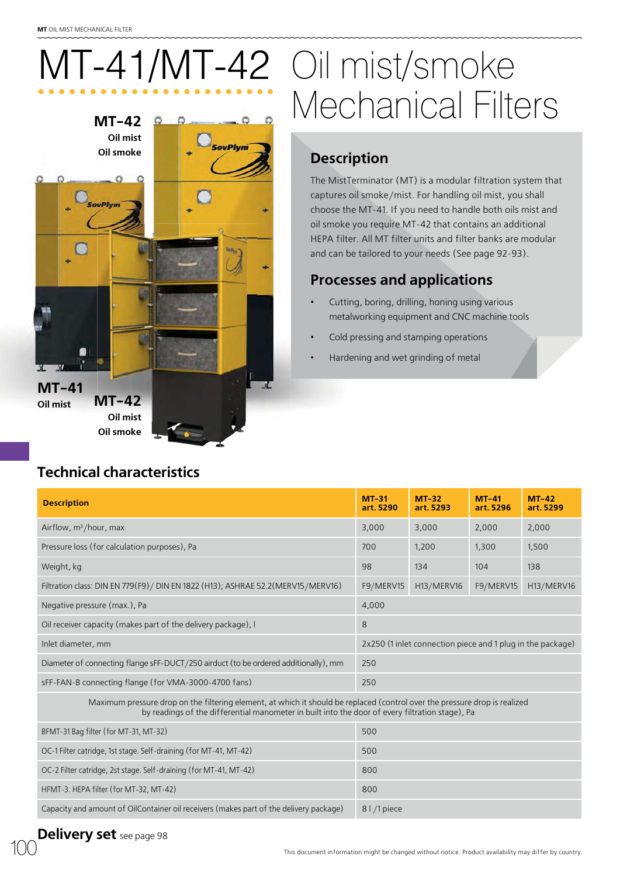**Oil mist Oil smoke**

**Couply** 

# **MT-42** MT-41/MT-42 Oil mist/smoke Mechanical Filters

SovPlym

## **Description**

The MistTerminator (MT) is a modular filtration system that captures oil smoke/mist. For handling oil mist, you shall choose the MT-41. If you need to handle both oils mist and oil smoke you require MT-42 that contains an additional HEPA filter. All MT filter units and filter banks are modular and can be tailored to your needs (See page 92-93).

### **Processes and applications**

- Cutting, boring, drilling, honing using various metalworking equipment and CNC machine tools
- Cold pressing and stamping operations
- Hardening and wet grinding of metal

| <b>Technical characteristics</b> |  |  |
|----------------------------------|--|--|

**MT-42 Oil mist Oil smoke**

**MT-41 Oil mist**

| <b>Description</b>                                                                                                                                                                                                            | $MT-31$<br>art. 5290                                       | $MT-32$<br>art. 5293 | $MT-41$<br>art. 5296 | $MT-42$<br>art. 5299 |  |
|-------------------------------------------------------------------------------------------------------------------------------------------------------------------------------------------------------------------------------|------------------------------------------------------------|----------------------|----------------------|----------------------|--|
| Airflow, $m^3/h$ our, max                                                                                                                                                                                                     | 3,000                                                      | 3,000                | 2,000                | 2,000                |  |
| Pressure loss (for calculation purposes), Pa                                                                                                                                                                                  | 700                                                        | 1,200                | 1,300                | 1,500                |  |
| Weight, kg                                                                                                                                                                                                                    | 98                                                         | 134                  | 104                  | 138                  |  |
| Filtration class: DIN EN 779(F9) / DIN EN 1822 (H13); ASHRAE 52.2 (MERV15 / MERV16)                                                                                                                                           | F9/MERV15                                                  | H13/MERV16           | F9/MERV15            | H13/MERV16           |  |
| Negative pressure (max.), Pa                                                                                                                                                                                                  | 4,000                                                      |                      |                      |                      |  |
| Oil receiver capacity (makes part of the delivery package), I                                                                                                                                                                 | 8                                                          |                      |                      |                      |  |
| Inlet diameter, mm                                                                                                                                                                                                            | 2x250 (1 inlet connection piece and 1 plug in the package) |                      |                      |                      |  |
| Diameter of connecting flange sFF-DUCT/250 airduct (to be ordered additionally), mm                                                                                                                                           | 250                                                        |                      |                      |                      |  |
| sFF-FAN-B connecting flange (for VMA-3000-4700 fans)                                                                                                                                                                          |                                                            | 250                  |                      |                      |  |
| Maximum pressure drop on the filtering element, at which it should be replaced (control over the pressure drop is realized<br>by readings of the differential manometer in built into the door of every filtration stage), Pa |                                                            |                      |                      |                      |  |
| BFMT-31 Bag filter (for MT-31, MT-32)                                                                                                                                                                                         |                                                            | 500                  |                      |                      |  |
| $\alpha = \alpha + \alpha$ . The set of $\alpha$ is the set of $\alpha$ is the set of $\alpha$                                                                                                                                |                                                            |                      |                      |                      |  |

| 1.1                                                                                    | $\sim$ $\sim$ $\sim$ |
|----------------------------------------------------------------------------------------|----------------------|
| OC-1 Filter catridge, 1st stage. Self-draining (for MT-41, MT-42)                      | 500                  |
| OC-2 Filter catridge, 2st stage. Self-draining (for MT-41, MT-42)                      | 800                  |
| HFMT-3. HEPA filter (for MT-32, MT-42)                                                 | 800                  |
| Capacity and amount of OilContainer oil receivers (makes part of the delivery package) | 8   /1 piece         |

#### **Delivery set** see page 98